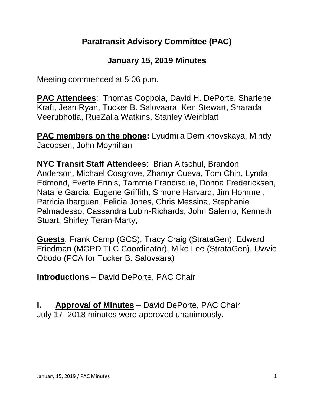# **Paratransit Advisory Committee (PAC)**

# **January 15, 2019 Minutes**

Meeting commenced at 5:06 p.m.

**PAC Attendees**: Thomas Coppola, David H. DePorte, Sharlene Kraft, Jean Ryan, Tucker B. Salovaara, Ken Stewart, Sharada Veerubhotla, RueZalia Watkins, Stanley Weinblatt

**PAC members on the phone:** Lyudmila Demikhovskaya, Mindy Jacobsen, John Moynihan

**NYC Transit Staff Attendees**: Brian Altschul, Brandon Anderson, Michael Cosgrove, Zhamyr Cueva, Tom Chin, Lynda Edmond, Evette Ennis, Tammie Francisque, Donna Fredericksen, Natalie Garcia, Eugene Griffith, Simone Harvard, Jim Hommel, Patricia Ibarguen, Felicia Jones, Chris Messina, Stephanie Palmadesso, Cassandra Lubin-Richards, John Salerno, Kenneth Stuart, Shirley Teran-Marty,

**Guests**: Frank Camp (GCS), Tracy Craig (StrataGen), Edward Friedman (MOPD TLC Coordinator), Mike Lee (StrataGen), Uwvie Obodo (PCA for Tucker B. Salovaara)

**Introductions** – David DePorte, PAC Chair

**I. Approval of Minutes** – David DePorte, PAC Chair July 17, 2018 minutes were approved unanimously.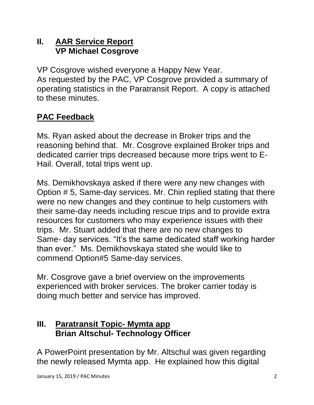# **II. AAR Service Report VP Michael Cosgrove**

VP Cosgrove wished everyone a Happy New Year. As requested by the PAC, VP Cosgrove provided a summary of operating statistics in the Paratransit Report. A copy is attached to these minutes.

# **PAC Feedback**

Ms. Ryan asked about the decrease in Broker trips and the reasoning behind that. Mr. Cosgrove explained Broker trips and dedicated carrier trips decreased because more trips went to E-Hail. Overall, total trips went up.

Ms. Demikhovskaya asked if there were any new changes with Option # 5, Same-day services. Mr. Chin replied stating that there were no new changes and they continue to help customers with their same-day needs including rescue trips and to provide extra resources for customers who may experience issues with their trips. Mr. Stuart added that there are no new changes to Same- day services. "It's the same dedicated staff working harder than ever." Ms. Demikhovskaya stated she would like to commend Option#5 Same-day services.

Mr. Cosgrove gave a brief overview on the improvements experienced with broker services. The broker carrier today is doing much better and service has improved.

#### **III. Paratransit Topic- Mymta app Brian Altschul- Technology Officer**

A PowerPoint presentation by Mr. Altschul was given regarding the newly released Mymta app. He explained how this digital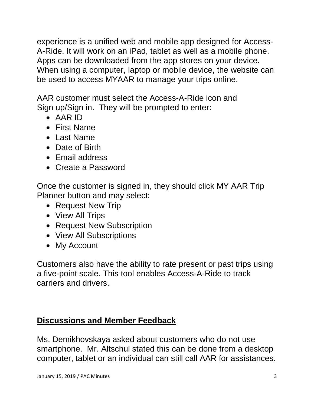experience is a unified web and mobile app designed for Access-A-Ride. It will work on an iPad, tablet as well as a mobile phone. Apps can be downloaded from the app stores on your device. When using a computer, laptop or mobile device, the website can be used to access MYAAR to manage your trips online.

AAR customer must select the Access-A-Ride icon and Sign up/Sign in. They will be prompted to enter:

- AAR ID
- First Name
- Last Name
- Date of Birth
- Email address
- Create a Password

Once the customer is signed in, they should click MY AAR Trip Planner button and may select:

- Request New Trip
- View All Trips
- Request New Subscription
- View All Subscriptions
- My Account

Customers also have the ability to rate present or past trips using a five-point scale. This tool enables Access-A-Ride to track carriers and drivers.

#### **Discussions and Member Feedback**

Ms. Demikhovskaya asked about customers who do not use smartphone. Mr. Altschul stated this can be done from a desktop computer, tablet or an individual can still call AAR for assistances.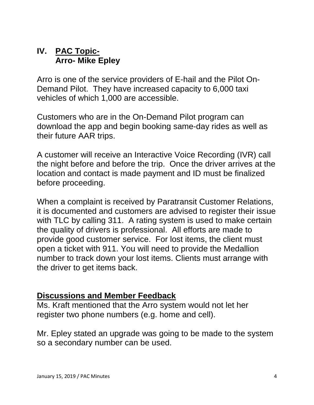#### **IV. PAC Topic-Arro- Mike Epley**

Arro is one of the service providers of E-hail and the Pilot On-Demand Pilot. They have increased capacity to 6,000 taxi vehicles of which 1,000 are accessible.

Customers who are in the On-Demand Pilot program can download the app and begin booking same-day rides as well as their future AAR trips.

A customer will receive an Interactive Voice Recording (IVR) call the night before and before the trip. Once the driver arrives at the location and contact is made payment and ID must be finalized before proceeding.

When a complaint is received by Paratransit Customer Relations, it is documented and customers are advised to register their issue with TLC by calling 311. A rating system is used to make certain the quality of drivers is professional. All efforts are made to provide good customer service. For lost items, the client must open a ticket with 911. You will need to provide the Medallion number to track down your lost items. Clients must arrange with the driver to get items back.

#### **Discussions and Member Feedback**

Ms. Kraft mentioned that the Arro system would not let her register two phone numbers (e.g. home and cell).

Mr. Epley stated an upgrade was going to be made to the system so a secondary number can be used.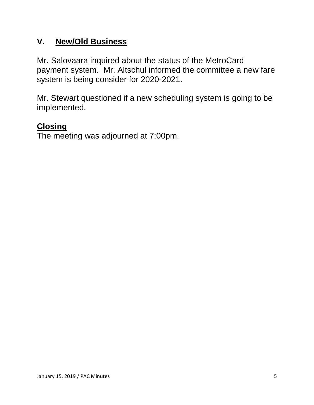# **V. New/Old Business**

Mr. Salovaara inquired about the status of the MetroCard payment system. Mr. Altschul informed the committee a new fare system is being consider for 2020-2021.

Mr. Stewart questioned if a new scheduling system is going to be implemented.

# **Closing**

The meeting was adjourned at 7:00pm.